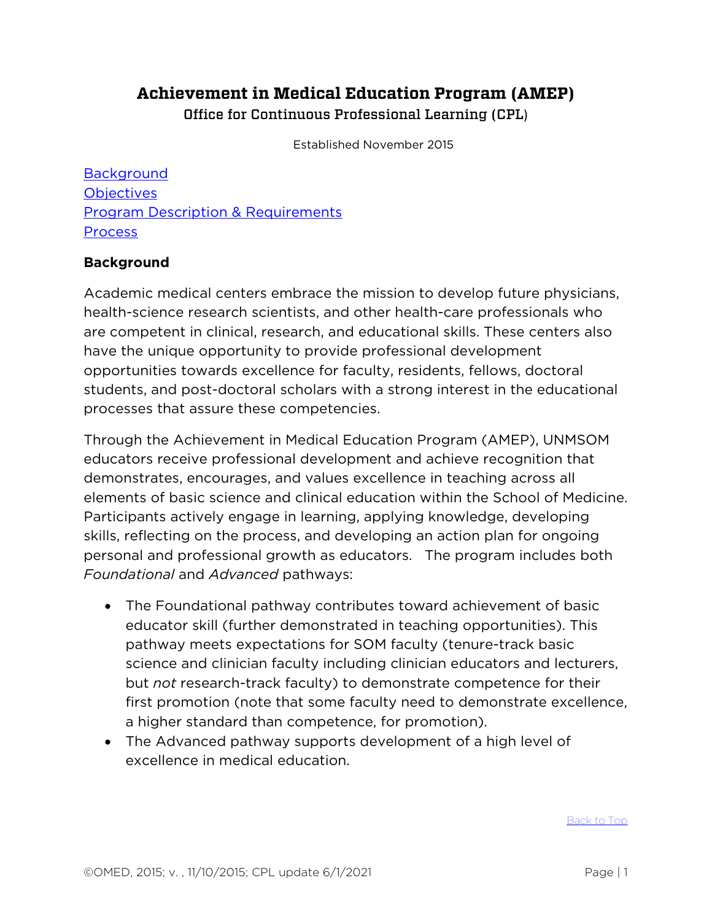# **Achievement in Medical Education Program (AMEP)** Office for Continuous Professional Learning (CPL)

Established November 2015

<span id="page-0-1"></span>**[Background](#page-0-0) [Objectives](#page-1-0)** [Program Description & Requirements](#page-2-0) [Process](#page-3-0)

#### <span id="page-0-0"></span>**Background**

Academic medical centers embrace the mission to develop future physicians, health-science research scientists, and other health-care professionals who are competent in clinical, research, and educational skills. These centers also have the unique opportunity to provide professional development opportunities towards excellence for faculty, residents, fellows, doctoral students, and post-doctoral scholars with a strong interest in the educational processes that assure these competencies.

Through the Achievement in Medical Education Program (AMEP), UNMSOM educators receive professional development and achieve recognition that demonstrates, encourages, and values excellence in teaching across all elements of basic science and clinical education within the School of Medicine. Participants actively engage in learning, applying knowledge, developing skills, reflecting on the process, and developing an action plan for ongoing personal and professional growth as educators. The program includes both *Foundational* and *Advanced* pathways:

- The Foundational pathway contributes toward achievement of basic educator skill (further demonstrated in teaching opportunities). This pathway meets expectations for SOM faculty (tenure-track basic science and clinician faculty including clinician educators and lecturers, but *not* research-track faculty) to demonstrate competence for their first promotion (note that some faculty need to demonstrate excellence, a higher standard than competence, for promotion).
- The Advanced pathway supports development of a high level of excellence in medical education.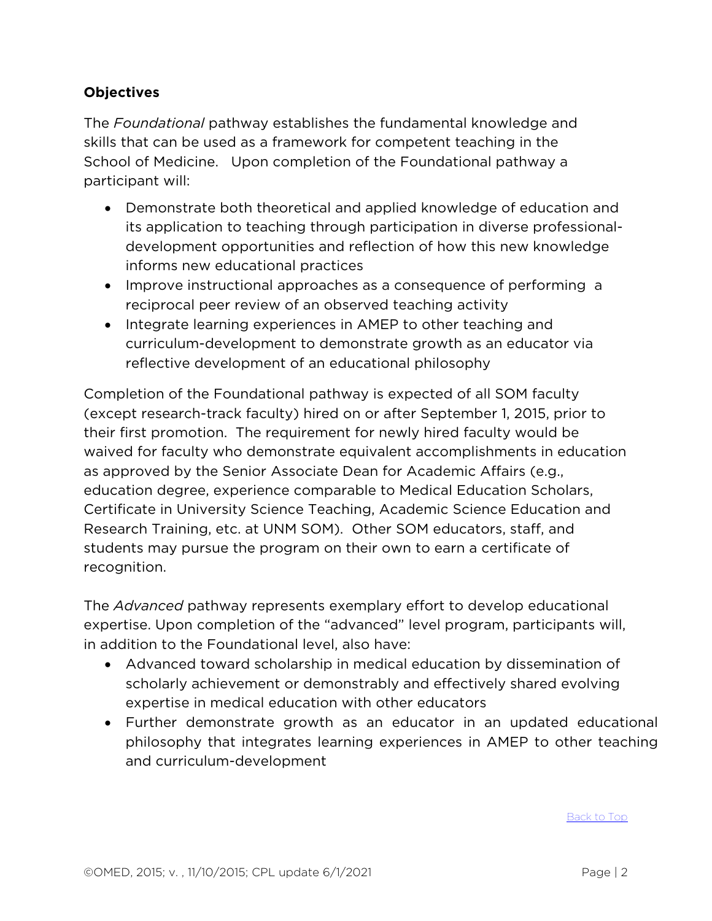## <span id="page-1-0"></span>**Objectives**

The *Foundational* pathway establishes the fundamental knowledge and skills that can be used as a framework for competent teaching in the School of Medicine. Upon completion of the Foundational pathway a participant will:

- Demonstrate both theoretical and applied knowledge of education and its application to teaching through participation in diverse professionaldevelopment opportunities and reflection of how this new knowledge informs new educational practices
- Improve instructional approaches as a consequence of performing a reciprocal peer review of an observed teaching activity
- Integrate learning experiences in AMEP to other teaching and curriculum-development to demonstrate growth as an educator via reflective development of an educational philosophy

Completion of the Foundational pathway is expected of all SOM faculty (except research-track faculty) hired on or after September 1, 2015, prior to their first promotion. The requirement for newly hired faculty would be waived for faculty who demonstrate equivalent accomplishments in education as approved by the Senior Associate Dean for Academic Affairs (e.g., education degree, experience comparable to Medical Education Scholars, Certificate in University Science Teaching, Academic Science Education and Research Training, etc. at UNM SOM). Other SOM educators, staff, and students may pursue the program on their own to earn a certificate of recognition.

The *Advanced* pathway represents exemplary effort to develop educational expertise. Upon completion of the "advanced" level program, participants will, in addition to the Foundational level, also have:

- Advanced toward scholarship in medical education by dissemination of scholarly achievement or demonstrably and effectively shared evolving expertise in medical education with other educators
- Further demonstrate growth as an educator in an updated educational philosophy that integrates learning experiences in AMEP to other teaching and curriculum-development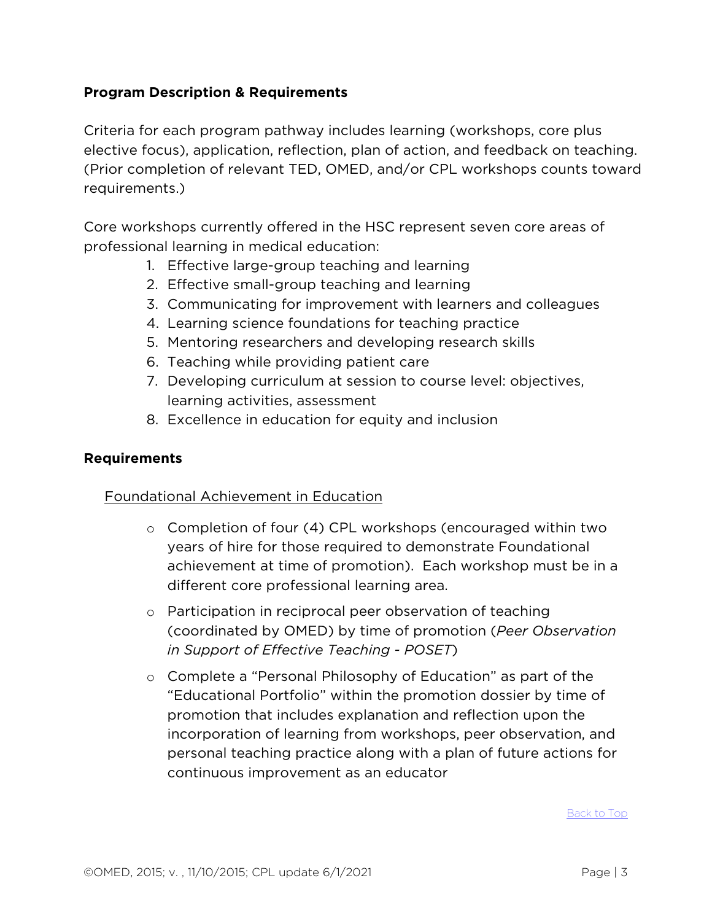#### <span id="page-2-0"></span>**Program Description & Requirements**

Criteria for each program pathway includes learning (workshops, core plus elective focus), application, reflection, plan of action, and feedback on teaching. (Prior completion of relevant TED, OMED, and/or CPL workshops counts toward requirements.)

Core workshops currently offered in the HSC represent seven core areas of professional learning in medical education:

- 1. Effective large-group teaching and learning
- 2. Effective small-group teaching and learning
- 3. Communicating for improvement with learners and colleagues
- 4. Learning science foundations for teaching practice
- 5. Mentoring researchers and developing research skills
- 6. Teaching while providing patient care
- 7. Developing curriculum at session to course level: objectives, learning activities, assessment
- 8. Excellence in education for equity and inclusion

#### **Requirements**

### Foundational Achievement in Education

- o Completion of four (4) CPL workshops (encouraged within two years of hire for those required to demonstrate Foundational achievement at time of promotion). Each workshop must be in a different core professional learning area.
- o Participation in reciprocal peer observation of teaching (coordinated by OMED) by time of promotion (*Peer Observation in Support of Effective Teaching - POSET*)
- o Complete a "Personal Philosophy of Education" as part of the "Educational Portfolio" within the promotion dossier by time of promotion that includes explanation and reflection upon the incorporation of learning from workshops, peer observation, and personal teaching practice along with a plan of future actions for continuous improvement as an educator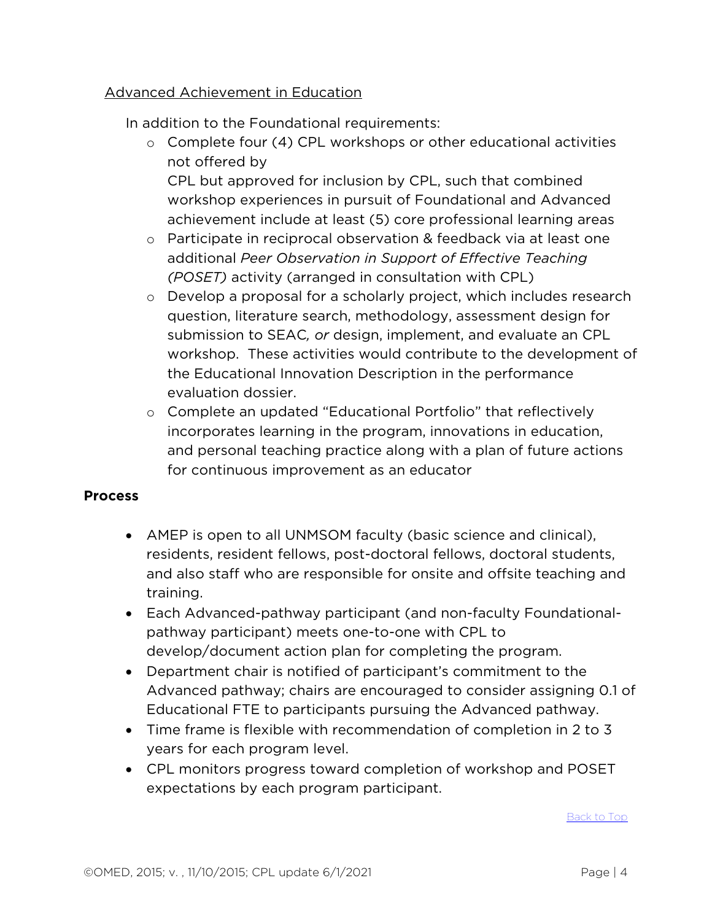#### Advanced Achievement in Education

In addition to the Foundational requirements:

 $\circ$  Complete four (4) CPL workshops or other educational activities not offered by

CPL but approved for inclusion by CPL, such that combined workshop experiences in pursuit of Foundational and Advanced achievement include at least (5) core professional learning areas

- o Participate in reciprocal observation & feedback via at least one additional *Peer Observation in Support of Effective Teaching (POSET)* activity (arranged in consultation with CPL)
- o Develop a proposal for a scholarly project, which includes research question, literature search, methodology, assessment design for submission to SEAC*, or* design, implement, and evaluate an CPL workshop. These activities would contribute to the development of the Educational Innovation Description in the performance evaluation dossier.
- o Complete an updated "Educational Portfolio" that reflectively incorporates learning in the program, innovations in education, and personal teaching practice along with a plan of future actions for continuous improvement as an educator

#### <span id="page-3-0"></span>**Process**

- AMEP is open to all UNMSOM faculty (basic science and clinical), residents, resident fellows, post-doctoral fellows, doctoral students, and also staff who are responsible for onsite and offsite teaching and training.
- Each Advanced-pathway participant (and non-faculty Foundationalpathway participant) meets one-to-one with CPL to develop/document action plan for completing the program.
- Department chair is notified of participant's commitment to the Advanced pathway; chairs are encouraged to consider assigning 0.1 of Educational FTE to participants pursuing the Advanced pathway.
- Time frame is flexible with recommendation of completion in 2 to 3 years for each program level.
- CPL monitors progress toward completion of workshop and POSET expectations by each program participant.